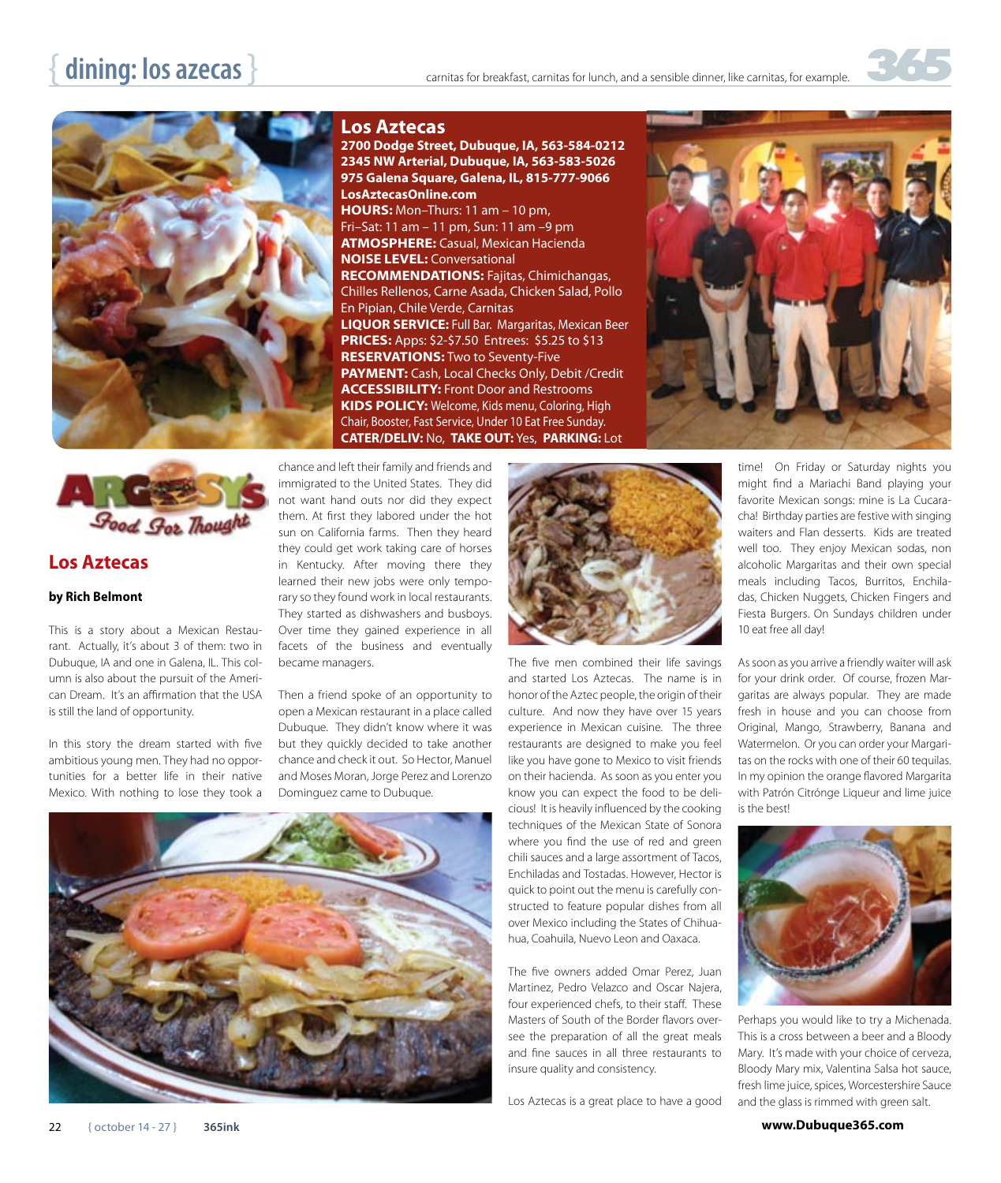



## **Los Aztecas**

## **by Rich Belmont**

This is a story about a Mexican Restaurant. Actually, it's about 3 of them: two in Dubuque, IA and one in Galena, IL. This column is also about the pursuit of the American Dream. It's an affirmation that the USA is still the land of opportunity.

In this story the dream started with five ambitious young men. They had no opportunities for a better life in their native Mexico. With nothing to lose they took a

## **Los Aztecas**

**2700 Dodge Street, Dubuque, IA, 563-584-0212 2345 NW Arterial, Dubuque, IA, 563-583-5026 975 Galena Square, Galena, IL, 815-777-9066 LosAztecasOnline.com HOURS:** Mon–Thurs: 11 am – 10 pm, Fri–Sat: 11 am – 11 pm, Sun: 11 am –9 pm **ATMOSPHERE:** Casual, Mexican Hacienda **NOISE LEVEL:** Conversational **RECOMMENDATIONS:** Fajitas, Chimichangas, Chilles Rellenos, Carne Asada, Chicken Salad, Pollo En Pipian, Chile Verde, Carnitas **LIQUOR SERVICE:** Full Bar. Margaritas, Mexican Beer **PRICES:** Apps: \$2-\$7.50 Entrees: \$5.25 to \$13 **RESERVATIONS:** Two to Seventy-Five **PAYMENT:** Cash, Local Checks Only, Debit /Credit **ACCESSIBILITY:** Front Door and Restrooms **KIDS POLICY:** Welcome, Kids menu, Coloring, High Chair, Booster, Fast Service, Under 10 Eat Free Sunday. **CATER/DELIV:** No, **TAKE OUT:** Yes, **PARKING:** Lot



chance and left their family and friends and immigrated to the United States. They did not want hand outs nor did they expect them. At first they labored under the hot sun on California farms. Then they heard they could get work taking care of horses in Kentucky. After moving there they learned their new jobs were only temporary so they found work in local restaurants. They started as dishwashers and busboys. Over time they gained experience in all facets of the business and eventually became managers.

Then a friend spoke of an opportunity to open a Mexican restaurant in a place called Dubuque. They didn't know where it was but they quickly decided to take another chance and check it out. So Hector, Manuel and Moses Moran, Jorge Perez and Lorenzo Dominguez came to Dubuque.





The five men combined their life savings and started Los Aztecas. The name is in honor of the Aztec people, the origin of their culture. And now they have over 15 years experience in Mexican cuisine. The three restaurants are designed to make you feel like you have gone to Mexico to visit friends on their hacienda. As soon as you enter you know you can expect the food to be delicious! It is heavily influenced by the cooking techniques of the Mexican State of Sonora where you find the use of red and green chili sauces and a large assortment of Tacos, Enchiladas and Tostadas. However, Hector is quick to point out the menu is carefully constructed to feature popular dishes from all over Mexico including the States of Chihuahua, Coahuila, Nuevo Leon and Oaxaca.

The five owners added Omar Perez, Juan Martinez, Pedro Velazco and Oscar Najera, four experienced chefs, to their staff. These Masters of South of the Border flavors oversee the preparation of all the great meals and fine sauces in all three restaurants to insure quality and consistency.

Los Aztecas is a great place to have a good

time! On Friday or Saturday nights you might find a Mariachi Band playing your favorite Mexican songs: mine is La Cucaracha! Birthday parties are festive with singing waiters and Flan desserts. Kids are treated well too. They enjoy Mexican sodas, non alcoholic Margaritas and their own special meals including Tacos, Burritos, Enchiladas, Chicken Nuggets, Chicken Fingers and Fiesta Burgers. On Sundays children under 10 eat free all day!

As soon as you arrive a friendly waiter will ask for your drink order. Of course, frozen Margaritas are always popular. They are made fresh in house and you can choose from Original, Mango, Strawberry, Banana and Watermelon. Or you can order your Margaritas on the rocks with one of their 60 tequilas. In my opinion the orange flavored Margarita with Patrón Citrónge Liqueur and lime juice is the best!



Perhaps you would like to try a Michenada. This is a cross between a beer and a Bloody Mary. It's made with your choice of cerveza, Bloody Mary mix, Valentina Salsa hot sauce, fresh lime juice, spices, Worcestershire Sauce and the glass is rimmed with green salt.